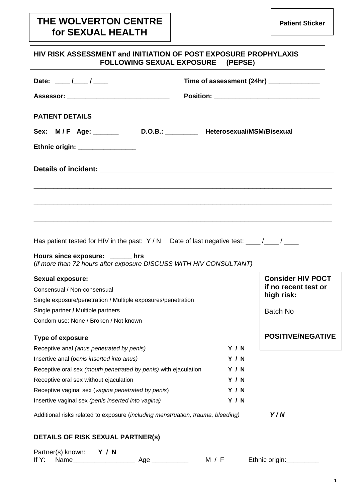# **THE WOLVERTON CENTRE for SEXUAL HEALTH**

| HIV RISK ASSESSMENT and INITIATION OF POST EXPOSURE PROPHYLAXIS<br><b>FOLLOWING SEXUAL EXPOSURE (PEPSE)</b> |                                          |                          |
|-------------------------------------------------------------------------------------------------------------|------------------------------------------|--------------------------|
| Date: $\frac{1}{\sqrt{2}}$                                                                                  | Time of assessment (24hr) ______________ |                          |
| Assessor: _________________________________                                                                 |                                          |                          |
| <b>PATIENT DETAILS</b>                                                                                      |                                          |                          |
| Sex: M/F Age: _______ D.O.B.: _______ Heterosexual/MSM/Bisexual                                             |                                          |                          |
| Ethnic origin: _________________                                                                            |                                          |                          |
|                                                                                                             |                                          |                          |
|                                                                                                             |                                          |                          |
|                                                                                                             |                                          |                          |
|                                                                                                             |                                          |                          |
|                                                                                                             |                                          |                          |
|                                                                                                             |                                          |                          |
| Has patient tested for HIV in the past: Y / N Date of last negative test: ____/___/ ____                    |                                          |                          |
| Hours since exposure: _____ hrs<br>(if more than 72 hours after exposure DISCUSS WITH HIV CONSULTANT)       |                                          |                          |
| Sexual exposure:                                                                                            |                                          | <b>Consider HIV POCT</b> |
| Consensual / Non-consensual                                                                                 |                                          | if no recent test or     |
| Single exposure/penetration / Multiple exposures/penetration                                                |                                          | high risk:               |
| Single partner / Multiple partners                                                                          |                                          | Batch No                 |
| Condom use: None / Broken / Not known                                                                       |                                          |                          |
| <b>Type of exposure</b>                                                                                     |                                          | <b>POSITIVE/NEGATIVE</b> |
| Receptive anal (anus penetrated by penis)                                                                   | <b>Y / N</b>                             |                          |
| Insertive anal (penis inserted into anus)                                                                   | <b>Y / N</b>                             |                          |
| Receptive oral sex (mouth penetrated by penis) with ejaculation                                             | <b>Y / N</b>                             |                          |
| Receptive oral sex without ejaculation                                                                      | <b>Y / N</b>                             |                          |
| Receptive vaginal sex (vagina penetrated by penis)                                                          | <b>Y / N</b>                             |                          |
| Insertive vaginal sex (penis inserted into vagina)                                                          | <b>Y / N</b>                             |                          |
| Additional risks related to exposure (including menstruation, trauma, bleeding)                             |                                          | Y/N                      |
| <b>DETAILS OF RISK SEXUAL PARTNER(s)</b>                                                                    |                                          |                          |
| Partner(s) known:<br><b>Y / N</b><br>If $Y$ :<br>Name<br>Age _________                                      | M / F                                    | Ethnic origin:           |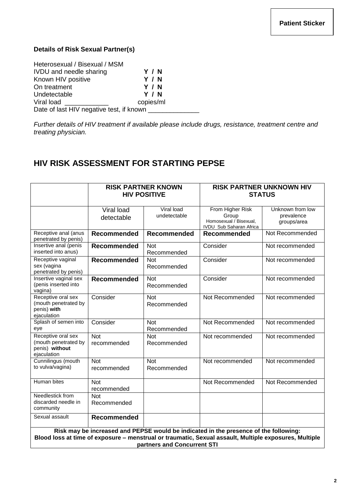### **Details of Risk Sexual Partner(s)**

| Heterosexual / Bisexual / MSM            |              |
|------------------------------------------|--------------|
| <b>IVDU</b> and needle sharing           | Y / N        |
| Known HIV positive                       | <b>Y / N</b> |
| On treatment                             | <b>Y / N</b> |
| Undetectable                             | <b>Y / N</b> |
| Viral load                               | copies/ml    |
| Date of last HIV negative test, if known |              |

*Further details of HIV treatment if available please include drugs, resistance, treatment centre and treating physician.*

# **HIV RISK ASSESSMENT FOR STARTING PEPSE**

|                                                                                                                                                                                                                              | <b>RISK PARTNER KNOWN</b><br><b>HIV POSITIVE</b> |                            | <b>RISK PARTNER UNKNOWN HIV</b><br><b>STATUS</b>                                      |                                               |
|------------------------------------------------------------------------------------------------------------------------------------------------------------------------------------------------------------------------------|--------------------------------------------------|----------------------------|---------------------------------------------------------------------------------------|-----------------------------------------------|
|                                                                                                                                                                                                                              | Viral load<br>detectable                         | Viral load<br>undetectable | From Higher Risk<br>Group<br>Homosexual / Bisexual,<br><b>IVDU Sub Saharan Africa</b> | Unknown from low<br>prevalence<br>groups/area |
| Receptive anal (anus<br>penetrated by penis)                                                                                                                                                                                 | <b>Recommended</b>                               | Recommended                | <b>Recommended</b>                                                                    | Not Recommended                               |
| Insertive anal (penis<br>inserted into anus)                                                                                                                                                                                 | <b>Recommended</b>                               | <b>Not</b><br>Recommended  | Consider                                                                              | Not recommended                               |
| Receptive vaginal<br>sex (vagina<br>penetrated by penis)                                                                                                                                                                     | <b>Recommended</b>                               | <b>Not</b><br>Recommended  | Consider                                                                              | Not recommended                               |
| Insertive vaginal sex<br>(penis inserted into<br>vagina)                                                                                                                                                                     | <b>Recommended</b>                               | <b>Not</b><br>Recommended  | Consider                                                                              | Not recommended                               |
| Receptive oral sex<br>(mouth penetrated by<br>penis) with<br>ejaculation                                                                                                                                                     | Consider                                         | <b>Not</b><br>Recommended  | Not Recommended                                                                       | Not recommended                               |
| Splash of semen into<br>eye                                                                                                                                                                                                  | Consider                                         | <b>Not</b><br>Recommended  | Not Recommended                                                                       | Not recommended                               |
| Receptive oral sex<br>(mouth penetrated by<br>penis) without<br>ejaculation                                                                                                                                                  | <b>Not</b><br>recommended                        | <b>Not</b><br>Recommended  | Not recommended                                                                       | Not recommended                               |
| Cunnilingus (mouth<br>to vulva/vagina)                                                                                                                                                                                       | <b>Not</b><br>recommended                        | <b>Not</b><br>Recommended  | Not recommended                                                                       | Not recommended                               |
| <b>Human bites</b>                                                                                                                                                                                                           | <b>Not</b><br>recommended                        |                            | Not Recommended                                                                       | Not Recommended                               |
| Needlestick from<br>discarded needle in<br>community                                                                                                                                                                         | <b>Not</b><br>Recommended                        |                            |                                                                                       |                                               |
| Sexual assault                                                                                                                                                                                                               | <b>Recommended</b>                               |                            |                                                                                       |                                               |
| Risk may be increased and PEPSE would be indicated in the presence of the following:<br>Blood loss at time of exposure - menstrual or traumatic, Sexual assault, Multiple exposures, Multiple<br>partners and Concurrent STI |                                                  |                            |                                                                                       |                                               |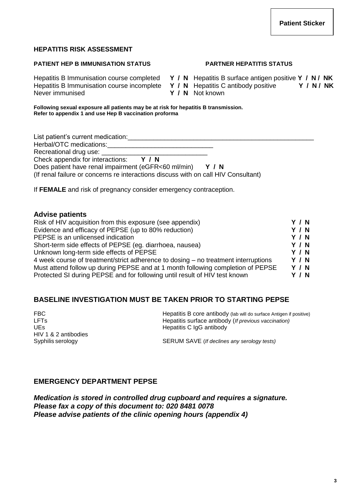**3**

# **HEPATITIS RISK ASSESSMENT**

### **PATIENT HEP B IMMUNISATION STATUS PARTNER HEPATITIS STATUS**

Never immunised **Y / N** Not known

Hepatitis B Immunisation course completed **Y / N** Hepatitis B surface antigen positive **Y / N / NK** Hepatitis B Immunisation course incomplete **Y / N** Hepatitis C antibody positive **Y / N / NK**

**Following sexual exposure all patients may be at risk for hepatitis B transmission. Refer to appendix 1 and use Hep B vaccination proforma**

| List patient's current medication:                                                 |  |
|------------------------------------------------------------------------------------|--|
| Herbal/OTC medications:                                                            |  |
| Recreational drug use: Necreational drug use:                                      |  |
| Check appendix for interactions:<br>Y/N                                            |  |
| Does patient have renal impairment (eGFR<60 ml/min)<br>Y/N                         |  |
| (If renal failure or concerns re interactions discuss with on call HIV Consultant) |  |
|                                                                                    |  |

If **FEMALE** and risk of pregnancy consider emergency contraception.

| <b>Advise patients</b>                                                             |       |
|------------------------------------------------------------------------------------|-------|
| Risk of HIV acquisition from this exposure (see appendix)                          | Y/N   |
| Evidence and efficacy of PEPSE (up to 80% reduction)                               | Y / N |
| PEPSE is an unlicensed indication                                                  | Y / N |
| Short-term side effects of PEPSE (eg. diarrhoea, nausea)                           | Y / N |
| Unknown long-term side effects of PEPSE                                            | Y / N |
| 4 week course of treatment/strict adherence to dosing – no treatment interruptions | Y/N   |
| Must attend follow up during PEPSE and at 1 month following completion of PEPSE    | Y / N |
| Protected SI during PEPSE and for following until result of HIV test known         | Y / N |

# **BASELINE INVESTIGATION MUST BE TAKEN PRIOR TO STARTING PEPSE**

HIV 1 & 2 antibodies

FBC FIRC **Hepatitis B** core antibody (lab will do surface Antigen if positive) LFTs Hepatitis surface antibody (*If previous vaccination)* UEs **Hepatitis C IgG antibody** 

Syphilis serology **SERUM SAVE** (*If declines any serology tests*)

# **EMERGENCY DEPARTMENT PEPSE**

*Medication is stored in controlled drug cupboard and requires a signature. Please fax a copy of this document to: 020 8481 0078 Please advise patients of the clinic opening hours (appendix 4)*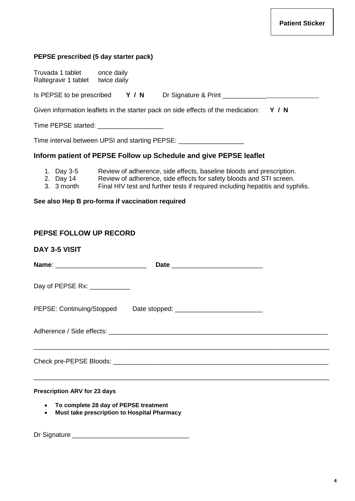# **PEPSE prescribed (5 day starter pack)** Truvada 1 tablet once daily Raltegravir 1 tablet twice daily Is PEPSE to be prescribed **Y / N** Dr Signature & Print \_\_\_\_\_\_\_\_\_\_\_\_\_\_\_\_\_\_\_\_\_\_\_\_\_\_ Given information leaflets in the starter pack on side effects of the medication: **Y / N** Time PEPSE started: \_\_\_\_\_\_\_\_\_\_\_\_\_\_\_\_\_\_ Time interval between UPSI and starting PEPSE:

# **Inform patient of PEPSE Follow up Schedule and give PEPSE leaflet**

- 1. Day 3-5 Review of adherence, side effects, baseline bloods and prescription.
- 2. Day 14 Review of adherence, side effects for safety bloods and STI screen.
- 3. 3 month Final HIV test and further tests if required including hepatitis and syphilis.

### **See also Hep B pro-forma if vaccination required**

### **PEPSE FOLLOW UP RECORD**

**DAY 3-5 VISIT**

| Day of PEPSE Rx: ____________       |  |  |
|-------------------------------------|--|--|
| PEPSE: Continuing/Stopped           |  |  |
|                                     |  |  |
|                                     |  |  |
|                                     |  |  |
|                                     |  |  |
|                                     |  |  |
| <b>Procerintion ARV for 23 days</b> |  |  |

#### **Prescription ARV for 23 days**

- **To complete 28 day of PEPSE treatment**
- **Must take prescription to Hospital Pharmacy**

Dr Signature \_\_\_\_\_\_\_\_\_\_\_\_\_\_\_\_\_\_\_\_\_\_\_\_\_\_\_\_\_\_\_\_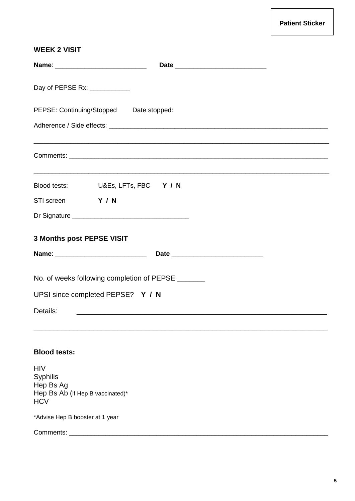# **WEEK 2 VISIT**

| Day of PEPSE Rx: ___________                                                                 |  |
|----------------------------------------------------------------------------------------------|--|
| PEPSE: Continuing/Stopped Date stopped:                                                      |  |
|                                                                                              |  |
|                                                                                              |  |
| Blood tests: U&Es, LFTs, FBC Y / N                                                           |  |
| STI screen Y / N                                                                             |  |
|                                                                                              |  |
| 3 Months post PEPSE VISIT                                                                    |  |
|                                                                                              |  |
| No. of weeks following completion of PEPSE ______                                            |  |
| UPSI since completed PEPSE? Y / N                                                            |  |
| Details:                                                                                     |  |
|                                                                                              |  |
| <b>Blood tests:</b>                                                                          |  |
| <b>HIV</b><br><b>Syphilis</b><br>Hep Bs Ag<br>Hep Bs Ab (if Hep B vaccinated)*<br><b>HCV</b> |  |
| *Advise Hep B booster at 1 year                                                              |  |
|                                                                                              |  |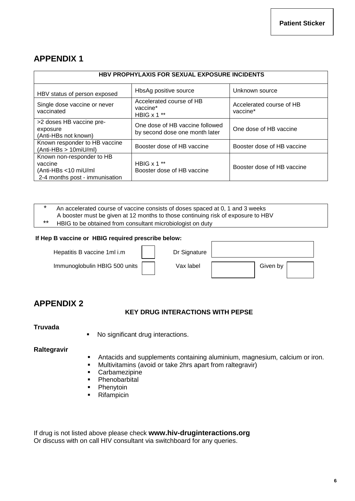# **APPENDIX 1**

| <b>HBV PROPHYLAXIS FOR SEXUAL EXPOSURE INCIDENTS</b>                                           |                                                                   |                                      |  |
|------------------------------------------------------------------------------------------------|-------------------------------------------------------------------|--------------------------------------|--|
| HBV status of person exposed                                                                   | HbsAg positive source                                             | Unknown source                       |  |
| Single dose vaccine or never<br>vaccinated                                                     | Accelerated course of HB<br>vaccine*<br>HBIG $x 1$ **             | Accelerated course of HB<br>vaccine* |  |
| >2 doses HB vaccine pre-<br>exposure<br>(Anti-HBs not known)                                   | One dose of HB vaccine followed<br>by second dose one month later | One dose of HB vaccine               |  |
| Known responder to HB vaccine<br>$(Anti-HBs > 10miU/ml)$                                       | Booster dose of HB vaccine                                        | Booster dose of HB vaccine           |  |
| Known non-responder to HB<br>vaccine<br>(Anti-HBs <10 miU/ml<br>2-4 months post - immunisation | HBIG $x$ 1 $**$<br>Booster dose of HB vaccine                     | Booster dose of HB vaccine           |  |

### An accelerated course of vaccine consists of doses spaced at 0, 1 and 3 weeks A booster must be given at 12 months to those continuing risk of exposure to HBV

\*\* HBIG to be obtained from consultant microbiologist on duty

#### **If Hep B vaccine or HBIG required prescribe below:**

Hepatitis B vaccine 1ml i.m <br>  $\begin{array}{c|c|c|c|c|c|c|c} \hline \text{Lip} & \text{Dr Signature} \end{array}$ 

Immunoglobulin HBIG 500 units Vax label Given by

# **APPENDIX 2**

### **KEY DRUG INTERACTIONS WITH PEPSE**

#### **Truvada**

• No significant drug interactions.

#### **Raltegravir**

- Antacids and supplements containing aluminium, magnesium, calcium or iron.
- Multivitamins (avoid or take 2hrs apart from raltegravir)
- **Carbamezipine**
- **Phenobarbital**
- Phenytoin
- **Rifampicin**

If drug is not listed above please check **www.hiv-druginteractions.org** Or discuss with on call HIV consultant via switchboard for any queries.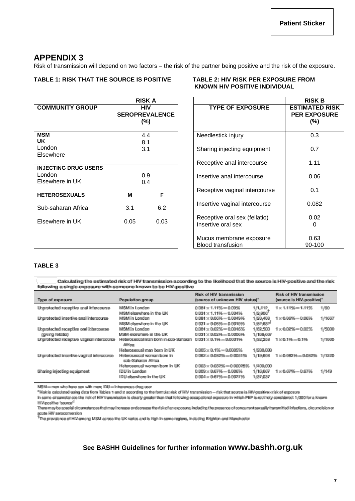# **APPENDIX 3**

Risk of transmission will depend on two factors – the risk of the partner being positive and the risk of the exposure.

#### **TABLE 1: RISK THAT THE SOURCE IS POSITIVE TABLE 2: HIV RISK PER EXPOSURE FROM**

|                             |                                               | RISK A |  |
|-----------------------------|-----------------------------------------------|--------|--|
| <b>COMMUNITY GROUP</b>      | <b>HIV</b><br><b>SEROPREVALENCE</b><br>$(\%)$ |        |  |
| <b>MSM</b>                  |                                               | 4.4    |  |
| <b>UK</b>                   | 8.1                                           |        |  |
| London                      | 3.1                                           |        |  |
| Elsewhere                   |                                               |        |  |
| <b>INJECTING DRUG USERS</b> |                                               |        |  |
| London                      | 0.9                                           |        |  |
| Elsewhere in UK             | 0.4                                           |        |  |
| <b>HETEROSEXUALS</b>        | M                                             | F      |  |
| Sub-saharan Africa          | 3.1                                           | 6.2    |  |
| Elsewhere in UK             | 0.05                                          | 0.03   |  |
|                             |                                               |        |  |

# **KNOWN HIV POSITIVE INDIVIDUAL**

|            | <b>RISK A</b>               |                                                     | <b>RISK B</b>                                           |
|------------|-----------------------------|-----------------------------------------------------|---------------------------------------------------------|
| HIV        | <b>PREVALENCE</b><br>$(\%)$ | <b>TYPE OF EXPOSURE</b>                             | <b>ESTIMATED RISK</b><br><b>PER EXPOSURE</b><br>$(\% )$ |
| 4.4<br>8.1 |                             | Needlestick injury                                  | 0.3                                                     |
| 3.1        |                             | Sharing injecting equipment                         | 0.7                                                     |
|            |                             | Receptive anal intercourse                          | 1.11                                                    |
| 0.9<br>0.4 |                             | Insertive anal intercourse                          | 0.06                                                    |
|            | F                           | Receptive vaginal intercourse                       | 0.1                                                     |
|            | 6.2                         | Insertive vaginal intercourse                       | 0.082                                                   |
|            | 0.03                        | Receptive oral sex (fellatio)<br>Insertive oral sex | 0.02                                                    |
|            |                             | Mucus membrane exposure<br><b>Blood transfusion</b> | 0.63<br>90-100                                          |

#### **TABLE 3**

Calculating the estimated risk of HIV transmission according to the likelihood that the source is HIV-positive and the risk following a single exposure with someone known to be HIV-positive

| Type of exposure                          | Population group                                | <b>Risk of HIV transmission</b><br>(source of unknown HIV status)* |           | <b>Risk of HIV transmission</b><br>(source is HIV-positive)* |        |
|-------------------------------------------|-------------------------------------------------|--------------------------------------------------------------------|-----------|--------------------------------------------------------------|--------|
| Unprotected receptive anal intercourse    | <b>MSM</b> in London                            | $0.081 \times 1.11\% = 0.09\%$                                     | 1/1,112   | $1 \times 1.11\% = 1.11\%$                                   | 1/90   |
|                                           | MSM elsewhere in the UK                         | $0.031 \times 1.11\% = 0.034\%$                                    | 1/2,906   |                                                              |        |
| Unprotected insertive anal intercourse    | MSM in London                                   | $0.081 \times 0.06\% = 0.0049\%$                                   | 1/20,408  | $1 \times 0.06\% = 0.06\%$                                   | 1/1667 |
|                                           | MSM elsewhere in the UK                         | $0.031 \times 0.06\% = 0.0019\%$                                   | 1/52,632  |                                                              |        |
| Unprotected receptive oral intercourse    | MSM in London                                   | $0.081 \times 0.02\% = 0.0016\%$                                   | 1/62,500  | $1 \times 0.02\% = 0.02\%$                                   | 1/5000 |
| (giving fellatio)                         | MSM elsewhere in the UK                         | $0.031 \times 0.02\% = 0.0006\%$                                   | 1/166,667 |                                                              |        |
| Unprotected receptive vaginal intercourse | Heterosexual man born in sub-Saharan<br>Africa  | $0.031 \times 0.1\% = 0.0031\%$                                    | 1/32,258  | $1 \times 0.1\% = 0.1\%$                                     | 1/1000 |
|                                           | Heterosexual man born in UK                     | $0.005 \times 0.1\% = 0.0005\%$                                    | 1/200,000 |                                                              |        |
| Unprotected insertive vaginal intercourse | Heterosexual woman bom in<br>sub-Saharan Africa | $0.062 \times 0.082\% = 0.0051\%$                                  | 1/19,608  | $1 \times 0.082\% = 0.082\%$                                 | 1/1220 |
|                                           | Heterosexual woman bom in UK                    | $0.003 \times 0.082\% = 0.00025\%$                                 | 1/400,000 |                                                              |        |
| Sharing injecting equipment               | IDU in London                                   | $0.009 \times 0.67\% = 0.006\%$                                    | 1/16,667  | $1 \times 0.67\% = 0.67\%$                                   | 1/149  |
|                                           | IDU elsewhere in the UK                         | $0.004 \times 0.67\% = 0.0027\%$                                   | 1/37,037  |                                                              |        |

MSM = men who have sex with men; IDU = intravenous drug user

\*Risk is calculated using data from Tables 1 and 2 according to the formula: risk of HIV transmission = risk that source is HIV-positivexrisk of exposure

In some circumstances the risk of HIV transmission is clearly greater than that following occupational exposure in which PEP is routinely considered: 1/300 for a known HIV-positive 'source'<sup>1</sup>

There may be special circumstances that may increase or decrease the risk of an exposure, including the presence of concurrent sexually transmitted infections, circumcision or acute HIV seroconversion<br>
The prevalence of HIV among MSM across the UK varies and is high in some regions, including Brighton and Manchester

# **See BASHH Guidelines for further information www.bashh.org.uk**